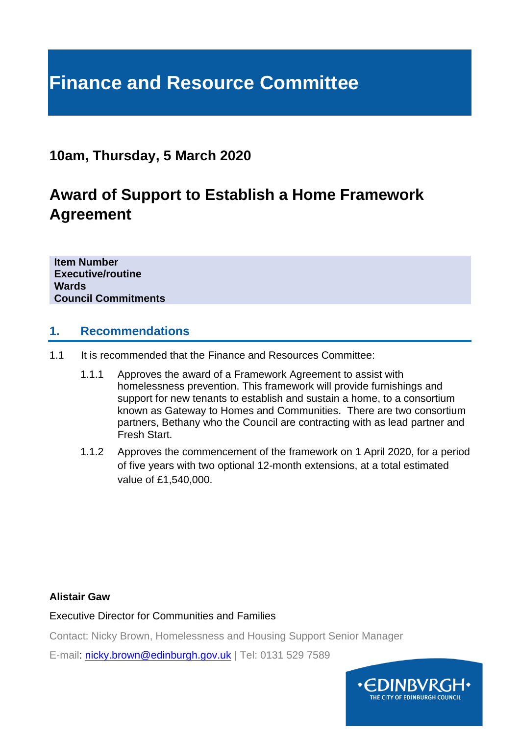# **Finance and Resource Committee**

## **10am, Thursday, 5 March 2020**

## **Award of Support to Establish a Home Framework Agreement**

**Item Number Executive/routine Wards Council Commitments**

#### **1. Recommendations**

- 1.1 It is recommended that the Finance and Resources Committee:
	- 1.1.1 Approves the award of a Framework Agreement to assist with homelessness prevention. This framework will provide furnishings and support for new tenants to establish and sustain a home, to a consortium known as Gateway to Homes and Communities. There are two consortium partners, Bethany who the Council are contracting with as lead partner and Fresh Start.
	- 1.1.2 Approves the commencement of the framework on 1 April 2020, for a period of five years with two optional 12-month extensions, at a total estimated value of £1,540,000.

#### **Alistair Gaw**

Executive Director for Communities and Families

Contact: Nicky Brown, Homelessness and Housing Support Senior Manager

E-mail: [nicky.brown@edinburgh.gov.uk](mailto:nicky.brown@edinburgh.gov.uk) | Tel: 0131 529 7589

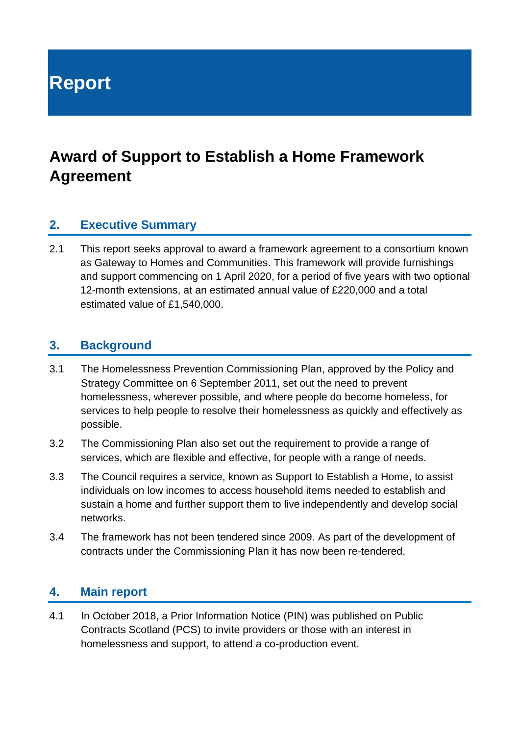**Report**

## **Award of Support to Establish a Home Framework Agreement**

#### **2. Executive Summary**

2.1 This report seeks approval to award a framework agreement to a consortium known as Gateway to Homes and Communities. This framework will provide furnishings and support commencing on 1 April 2020, for a period of five years with two optional 12-month extensions, at an estimated annual value of £220,000 and a total estimated value of £1,540,000.

#### **3. Background**

- 3.1 The Homelessness Prevention Commissioning Plan, approved by the Policy and Strategy Committee on 6 September 2011, set out the need to prevent homelessness, wherever possible, and where people do become homeless, for services to help people to resolve their homelessness as quickly and effectively as possible.
- 3.2 The Commissioning Plan also set out the requirement to provide a range of services, which are flexible and effective, for people with a range of needs.
- 3.3 The Council requires a service, known as Support to Establish a Home, to assist individuals on low incomes to access household items needed to establish and sustain a home and further support them to live independently and develop social networks.
- 3.4 The framework has not been tendered since 2009. As part of the development of contracts under the Commissioning Plan it has now been re-tendered.

#### **4. Main report**

4.1 In October 2018, a Prior Information Notice (PIN) was published on Public Contracts Scotland (PCS) to invite providers or those with an interest in homelessness and support, to attend a co-production event.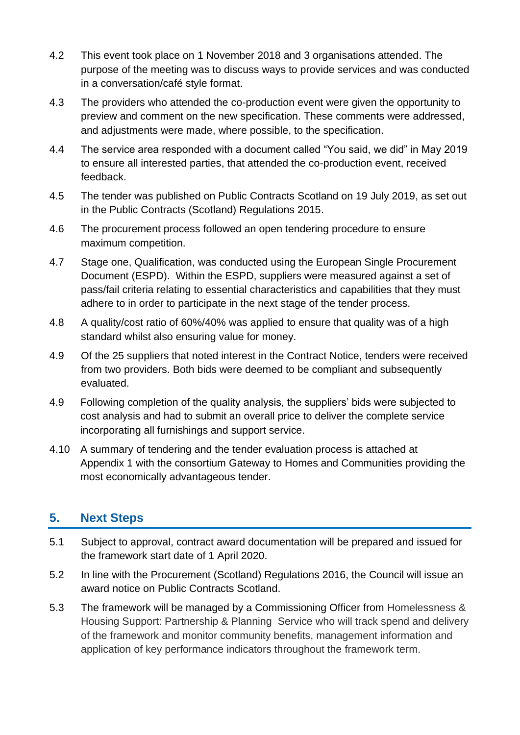- 4.2 This event took place on 1 November 2018 and 3 organisations attended. The purpose of the meeting was to discuss ways to provide services and was conducted in a conversation/café style format.
- 4.3 The providers who attended the co-production event were given the opportunity to preview and comment on the new specification. These comments were addressed, and adjustments were made, where possible, to the specification.
- 4.4 The service area responded with a document called "You said, we did" in May 2019 to ensure all interested parties, that attended the co-production event, received feedback.
- 4.5 The tender was published on Public Contracts Scotland on 19 July 2019, as set out in the Public Contracts (Scotland) Regulations 2015.
- 4.6 The procurement process followed an open tendering procedure to ensure maximum competition.
- 4.7 Stage one, Qualification, was conducted using the European Single Procurement Document (ESPD). Within the ESPD, suppliers were measured against a set of pass/fail criteria relating to essential characteristics and capabilities that they must adhere to in order to participate in the next stage of the tender process.
- 4.8 A quality/cost ratio of 60%/40% was applied to ensure that quality was of a high standard whilst also ensuring value for money.
- 4.9 Of the 25 suppliers that noted interest in the Contract Notice, tenders were received from two providers. Both bids were deemed to be compliant and subsequently evaluated.
- 4.9 Following completion of the quality analysis, the suppliers' bids were subjected to cost analysis and had to submit an overall price to deliver the complete service incorporating all furnishings and support service.
- 4.10 A summary of tendering and the tender evaluation process is attached at Appendix 1 with the consortium Gateway to Homes and Communities providing the most economically advantageous tender.

## **5. Next Steps**

- 5.1 Subject to approval, contract award documentation will be prepared and issued for the framework start date of 1 April 2020.
- 5.2 In line with the Procurement (Scotland) Regulations 2016, the Council will issue an award notice on Public Contracts Scotland.
- 5.3 The framework will be managed by a Commissioning Officer from Homelessness & Housing Support: Partnership & Planning Service who will track spend and delivery of the framework and monitor community benefits, management information and application of key performance indicators throughout the framework term.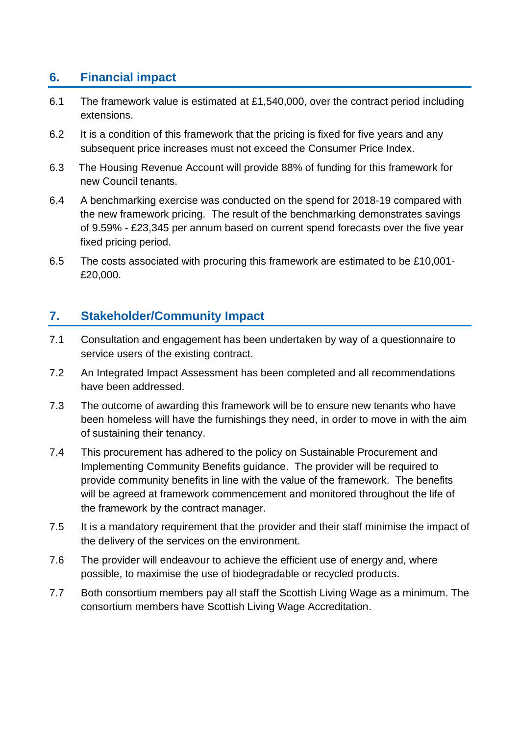### **6. Financial impact**

- 6.1 The framework value is estimated at £1,540,000, over the contract period including extensions.
- 6.2 It is a condition of this framework that the pricing is fixed for five years and any subsequent price increases must not exceed the Consumer Price Index.
- 6.3 The Housing Revenue Account will provide 88% of funding for this framework for new Council tenants.
- 6.4 A benchmarking exercise was conducted on the spend for 2018-19 compared with the new framework pricing. The result of the benchmarking demonstrates savings of 9.59% - £23,345 per annum based on current spend forecasts over the five year fixed pricing period.
- 6.5 The costs associated with procuring this framework are estimated to be £10,001- £20,000.

### **7. Stakeholder/Community Impact**

- 7.1 Consultation and engagement has been undertaken by way of a questionnaire to service users of the existing contract.
- 7.2 An Integrated Impact Assessment has been completed and all recommendations have been addressed.
- 7.3 The outcome of awarding this framework will be to ensure new tenants who have been homeless will have the furnishings they need, in order to move in with the aim of sustaining their tenancy.
- 7.4 This procurement has adhered to the policy on Sustainable Procurement and Implementing Community Benefits guidance. The provider will be required to provide community benefits in line with the value of the framework. The benefits will be agreed at framework commencement and monitored throughout the life of the framework by the contract manager.
- 7.5 It is a mandatory requirement that the provider and their staff minimise the impact of the delivery of the services on the environment.
- 7.6 The provider will endeavour to achieve the efficient use of energy and, where possible, to maximise the use of biodegradable or recycled products.
- 7.7 Both consortium members pay all staff the Scottish Living Wage as a minimum. The consortium members have Scottish Living Wage Accreditation.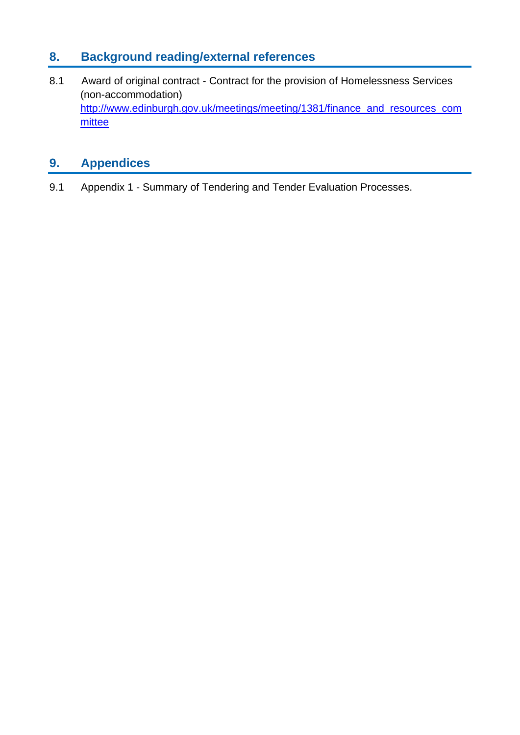## **8. Background reading/external references**

8.1 Award of original contract - Contract for the provision of Homelessness Services (non-accommodation) [http://www.edinburgh.gov.uk/meetings/meeting/1381/finance\\_and\\_resources\\_com](http://www.edinburgh.gov.uk/meetings/meeting/1381/finance_and_resources_committee) [mittee](http://www.edinburgh.gov.uk/meetings/meeting/1381/finance_and_resources_committee)

## **9. Appendices**

9.1 Appendix 1 - Summary of Tendering and Tender Evaluation Processes.